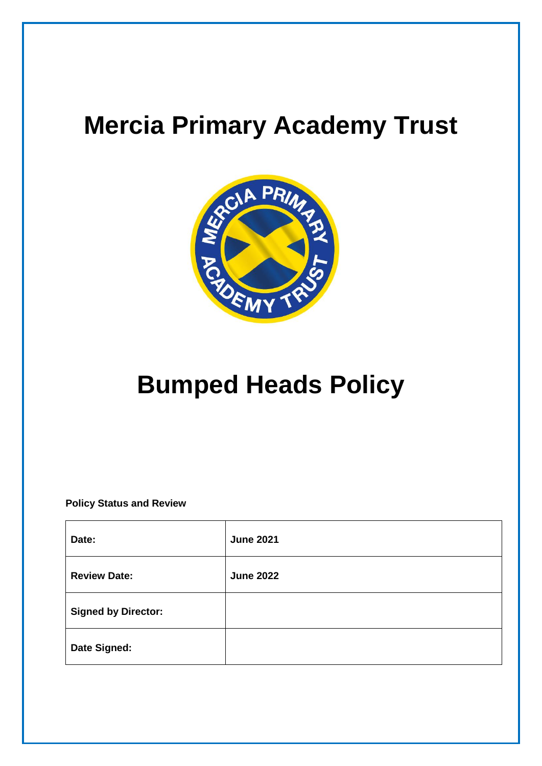## **Mercia Primary Academy Trust**



## **Bumped Heads Policy**

**Policy Status and Review**

| Date:                      | <b>June 2021</b> |
|----------------------------|------------------|
| <b>Review Date:</b>        | <b>June 2022</b> |
| <b>Signed by Director:</b> |                  |
| Date Signed:               |                  |